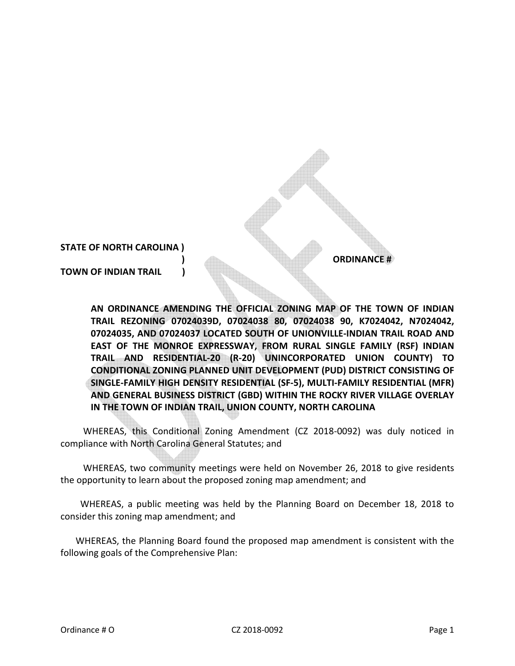## **STATE OF NORTH CAROLINA )**

**TOWN OF INDIAN TRAIL )** 

**) ORDINANCE #** 

**AN ORDINANCE AMENDING THE OFFICIAL ZONING MAP OF THE TOWN OF INDIAN TRAIL REZONING 07024039D, 07024038 80, 07024038 90, K7024042, N7024042, 07024035, AND 07024037 LOCATED SOUTH OF UNIONVILLE-INDIAN TRAIL ROAD AND EAST OF THE MONROE EXPRESSWAY, FROM RURAL SINGLE FAMILY (RSF) INDIAN TRAIL AND RESIDENTIAL-20 (R-20) UNINCORPORATED UNION COUNTY) TO CONDITIONAL ZONING PLANNED UNIT DEVELOPMENT (PUD) DISTRICT CONSISTING OF SINGLE-FAMILY HIGH DENSITY RESIDENTIAL (SF-5), MULTI-FAMILY RESIDENTIAL (MFR) AND GENERAL BUSINESS DISTRICT (GBD) WITHIN THE ROCKY RIVER VILLAGE OVERLAY IN THE TOWN OF INDIAN TRAIL, UNION COUNTY, NORTH CAROLINA** 

WHEREAS, this Conditional Zoning Amendment (CZ 2018-0092) was duly noticed in compliance with North Carolina General Statutes; and

WHEREAS, two community meetings were held on November 26, 2018 to give residents the opportunity to learn about the proposed zoning map amendment; and

 WHEREAS, a public meeting was held by the Planning Board on December 18, 2018 to consider this zoning map amendment; and

WHEREAS, the Planning Board found the proposed map amendment is consistent with the following goals of the Comprehensive Plan: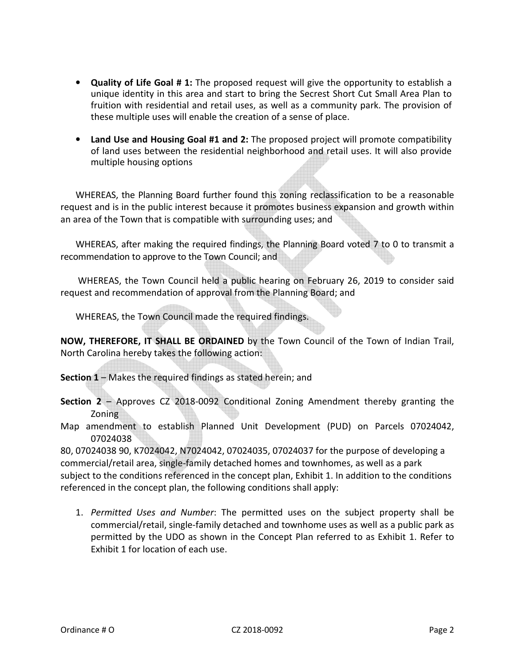- **Quality of Life Goal # 1:** The proposed request will give the opportunity to establish a unique identity in this area and start to bring the Secrest Short Cut Small Area Plan to fruition with residential and retail uses, as well as a community park. The provision of these multiple uses will enable the creation of a sense of place.
- **Land Use and Housing Goal #1 and 2:** The proposed project will promote compatibility of land uses between the residential neighborhood and retail uses. It will also provide multiple housing options

WHEREAS, the Planning Board further found this zoning reclassification to be a reasonable request and is in the public interest because it promotes business expansion and growth within an area of the Town that is compatible with surrounding uses; and

WHEREAS, after making the required findings, the Planning Board voted 7 to 0 to transmit a recommendation to approve to the Town Council; and

 WHEREAS, the Town Council held a public hearing on February 26, 2019 to consider said request and recommendation of approval from the Planning Board; and

WHEREAS, the Town Council made the required findings.

**NOW, THEREFORE, IT SHALL BE ORDAINED** by the Town Council of the Town of Indian Trail, North Carolina hereby takes the following action:

**Section 1** – Makes the required findings as stated herein; and

- **Section 2**  Approves CZ 2018-0092 Conditional Zoning Amendment thereby granting the Zoning
- Map amendment to establish Planned Unit Development (PUD) on Parcels 07024042, 07024038

80, 07024038 90, K7024042, N7024042, 07024035, 07024037 for the purpose of developing a commercial/retail area, single-family detached homes and townhomes, as well as a park subject to the conditions referenced in the concept plan, Exhibit 1. In addition to the conditions referenced in the concept plan, the following conditions shall apply:

1. *Permitted Uses and Number*: The permitted uses on the subject property shall be commercial/retail, single-family detached and townhome uses as well as a public park as permitted by the UDO as shown in the Concept Plan referred to as Exhibit 1. Refer to Exhibit 1 for location of each use.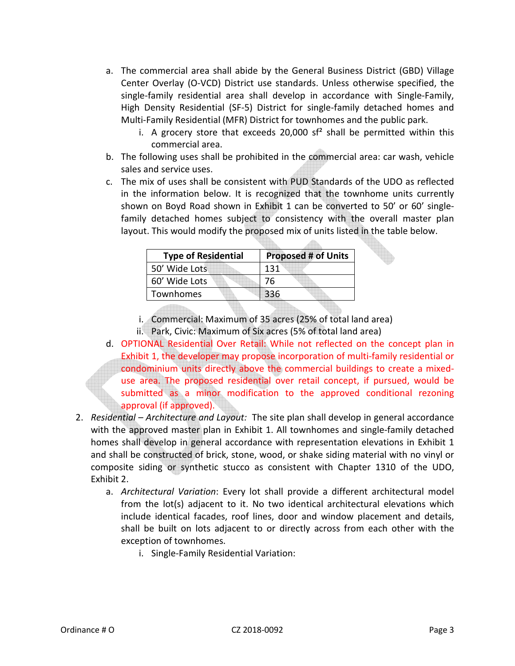- a. The commercial area shall abide by the General Business District (GBD) Village Center Overlay (O-VCD) District use standards. Unless otherwise specified, the single-family residential area shall develop in accordance with Single-Family, High Density Residential (SF-5) District for single-family detached homes and Multi-Family Residential (MFR) District for townhomes and the public park.
	- i. A grocery store that exceeds 20,000  $sf^2$  shall be permitted within this commercial area.
- b. The following uses shall be prohibited in the commercial area: car wash, vehicle sales and service uses.
- c. The mix of uses shall be consistent with PUD Standards of the UDO as reflected in the information below. It is recognized that the townhome units currently shown on Boyd Road shown in Exhibit 1 can be converted to 50' or 60' singlefamily detached homes subject to consistency with the overall master plan layout. This would modify the proposed mix of units listed in the table below.

| <b>Type of Residential</b> | <b>Proposed # of Units</b> |
|----------------------------|----------------------------|
| 50' Wide Lots              | 131                        |
| 60' Wide Lots              | 76                         |
| Townhomes                  | 336                        |

i. Commercial: Maximum of 35 acres (25% of total land area)

ii. Park, Civic: Maximum of Six acres (5% of total land area)

- d. OPTIONAL Residential Over Retail: While not reflected on the concept plan in Exhibit 1, the developer may propose incorporation of multi-family residential or condominium units directly above the commercial buildings to create a mixeduse area. The proposed residential over retail concept, if pursued, would be submitted as a minor modification to the approved conditional rezoning approval (if approved).
- 2. *Residential Architecture and Layout:* The site plan shall develop in general accordance with the approved master plan in Exhibit 1. All townhomes and single-family detached homes shall develop in general accordance with representation elevations in Exhibit 1 and shall be constructed of brick, stone, wood, or shake siding material with no vinyl or composite siding or synthetic stucco as consistent with Chapter 1310 of the UDO, Exhibit 2.
	- a. *Architectural Variation*: Every lot shall provide a different architectural model from the lot(s) adjacent to it. No two identical architectural elevations which include identical facades, roof lines, door and window placement and details, shall be built on lots adjacent to or directly across from each other with the exception of townhomes.
		- i. Single-Family Residential Variation: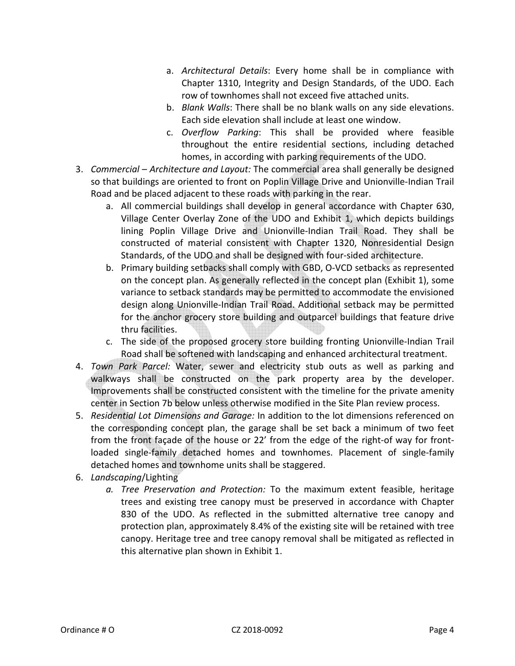- a. *Architectural Details*: Every home shall be in compliance with Chapter 1310, Integrity and Design Standards, of the UDO. Each row of townhomes shall not exceed five attached units.
- b. *Blank Walls*: There shall be no blank walls on any side elevations. Each side elevation shall include at least one window.
- c. *Overflow Parking*: This shall be provided where feasible throughout the entire residential sections, including detached homes, in according with parking requirements of the UDO.
- 3. *Commercial Architecture and Layout:* The commercial area shall generally be designed so that buildings are oriented to front on Poplin Village Drive and Unionville-Indian Trail Road and be placed adjacent to these roads with parking in the rear.
	- a. All commercial buildings shall develop in general accordance with Chapter 630, Village Center Overlay Zone of the UDO and Exhibit 1, which depicts buildings lining Poplin Village Drive and Unionville-Indian Trail Road. They shall be constructed of material consistent with Chapter 1320, Nonresidential Design Standards, of the UDO and shall be designed with four-sided architecture.
	- b. Primary building setbacks shall comply with GBD, O-VCD setbacks as represented on the concept plan. As generally reflected in the concept plan (Exhibit 1), some variance to setback standards may be permitted to accommodate the envisioned design along Unionville-Indian Trail Road. Additional setback may be permitted for the anchor grocery store building and outparcel buildings that feature drive thru facilities.
	- c. The side of the proposed grocery store building fronting Unionville-Indian Trail Road shall be softened with landscaping and enhanced architectural treatment.
- 4. *Town Park Parcel:* Water, sewer and electricity stub outs as well as parking and walkways shall be constructed on the park property area by the developer. Improvements shall be constructed consistent with the timeline for the private amenity center in Section 7b below unless otherwise modified in the Site Plan review process.
- 5. *Residential Lot Dimensions and Garage:* In addition to the lot dimensions referenced on the corresponding concept plan, the garage shall be set back a minimum of two feet from the front façade of the house or 22' from the edge of the right-of way for frontloaded single-family detached homes and townhomes. Placement of single-family detached homes and townhome units shall be staggered.
- 6. *Landscaping*/Lighting
	- *a. Tree Preservation and Protection:* To the maximum extent feasible, heritage trees and existing tree canopy must be preserved in accordance with Chapter 830 of the UDO. As reflected in the submitted alternative tree canopy and protection plan, approximately 8.4% of the existing site will be retained with tree canopy. Heritage tree and tree canopy removal shall be mitigated as reflected in this alternative plan shown in Exhibit 1.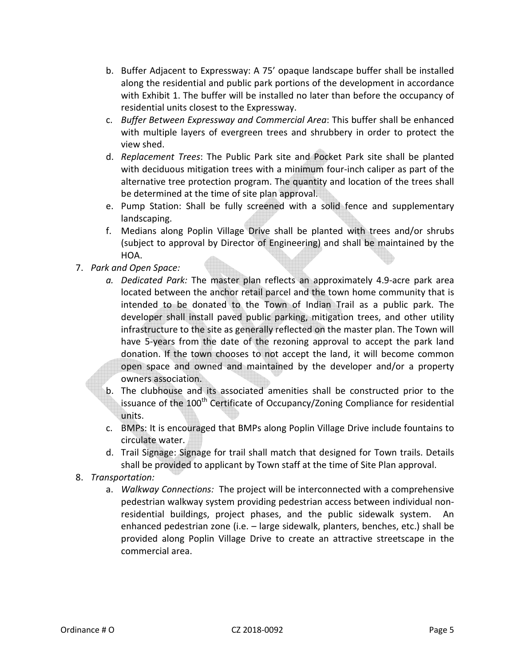- b. Buffer Adjacent to Expressway: A 75' opaque landscape buffer shall be installed along the residential and public park portions of the development in accordance with Exhibit 1. The buffer will be installed no later than before the occupancy of residential units closest to the Expressway.
- c. *Buffer Between Expressway and Commercial Area*: This buffer shall be enhanced with multiple layers of evergreen trees and shrubbery in order to protect the view shed.
- d. *Replacement Trees*: The Public Park site and Pocket Park site shall be planted with deciduous mitigation trees with a minimum four-inch caliper as part of the alternative tree protection program. The quantity and location of the trees shall be determined at the time of site plan approval.
- e. Pump Station: Shall be fully screened with a solid fence and supplementary landscaping.
- f. Medians along Poplin Village Drive shall be planted with trees and/or shrubs (subject to approval by Director of Engineering) and shall be maintained by the HOA.
- 7. *Park and Open Space:* 
	- *a. Dedicated Park:* The master plan reflects an approximately 4.9-acre park area located between the anchor retail parcel and the town home community that is intended to be donated to the Town of Indian Trail as a public park. The developer shall install paved public parking, mitigation trees, and other utility infrastructure to the site as generally reflected on the master plan. The Town will have 5-years from the date of the rezoning approval to accept the park land donation. If the town chooses to not accept the land, it will become common open space and owned and maintained by the developer and/or a property owners association.
	- b. The clubhouse and its associated amenities shall be constructed prior to the issuance of the  $100<sup>th</sup>$  Certificate of Occupancy/Zoning Compliance for residential units.
	- c. BMPs: It is encouraged that BMPs along Poplin Village Drive include fountains to circulate water.
	- d. Trail Signage: Signage for trail shall match that designed for Town trails. Details shall be provided to applicant by Town staff at the time of Site Plan approval.
- 8. *Transportation:*
	- a. *Walkway Connections:* The project will be interconnected with a comprehensive pedestrian walkway system providing pedestrian access between individual nonresidential buildings, project phases, and the public sidewalk system. An enhanced pedestrian zone (i.e. – large sidewalk, planters, benches, etc.) shall be provided along Poplin Village Drive to create an attractive streetscape in the commercial area.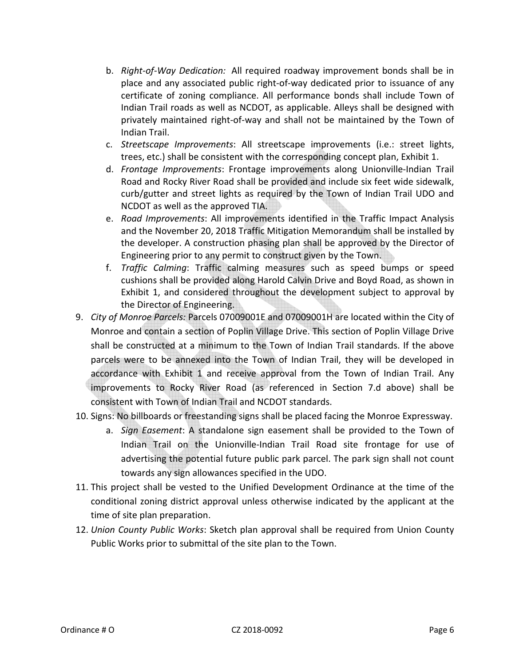- b. *Right-of-Way Dedication:* All required roadway improvement bonds shall be in place and any associated public right-of-way dedicated prior to issuance of any certificate of zoning compliance. All performance bonds shall include Town of Indian Trail roads as well as NCDOT, as applicable. Alleys shall be designed with privately maintained right-of-way and shall not be maintained by the Town of Indian Trail.
- c. *Streetscape Improvements*: All streetscape improvements (i.e.: street lights, trees, etc.) shall be consistent with the corresponding concept plan, Exhibit 1.
- d. *Frontage Improvements*: Frontage improvements along Unionville-Indian Trail Road and Rocky River Road shall be provided and include six feet wide sidewalk, curb/gutter and street lights as required by the Town of Indian Trail UDO and NCDOT as well as the approved TIA.
- e. *Road Improvements*: All improvements identified in the Traffic Impact Analysis and the November 20, 2018 Traffic Mitigation Memorandum shall be installed by the developer. A construction phasing plan shall be approved by the Director of Engineering prior to any permit to construct given by the Town.
- f. *Traffic Calming*: Traffic calming measures such as speed bumps or speed cushions shall be provided along Harold Calvin Drive and Boyd Road, as shown in Exhibit 1, and considered throughout the development subject to approval by the Director of Engineering.
- 9. *City of Monroe Parcels:* Parcels 07009001E and 07009001H are located within the City of Monroe and contain a section of Poplin Village Drive. This section of Poplin Village Drive shall be constructed at a minimum to the Town of Indian Trail standards. If the above parcels were to be annexed into the Town of Indian Trail, they will be developed in accordance with Exhibit 1 and receive approval from the Town of Indian Trail. Any improvements to Rocky River Road (as referenced in Section 7.d above) shall be consistent with Town of Indian Trail and NCDOT standards.
- 10. Signs: No billboards or freestanding signs shall be placed facing the Monroe Expressway.
	- a. *Sign Easement*: A standalone sign easement shall be provided to the Town of Indian Trail on the Unionville-Indian Trail Road site frontage for use of advertising the potential future public park parcel. The park sign shall not count towards any sign allowances specified in the UDO.
- 11. This project shall be vested to the Unified Development Ordinance at the time of the conditional zoning district approval unless otherwise indicated by the applicant at the time of site plan preparation.
- 12. *Union County Public Works*: Sketch plan approval shall be required from Union County Public Works prior to submittal of the site plan to the Town.